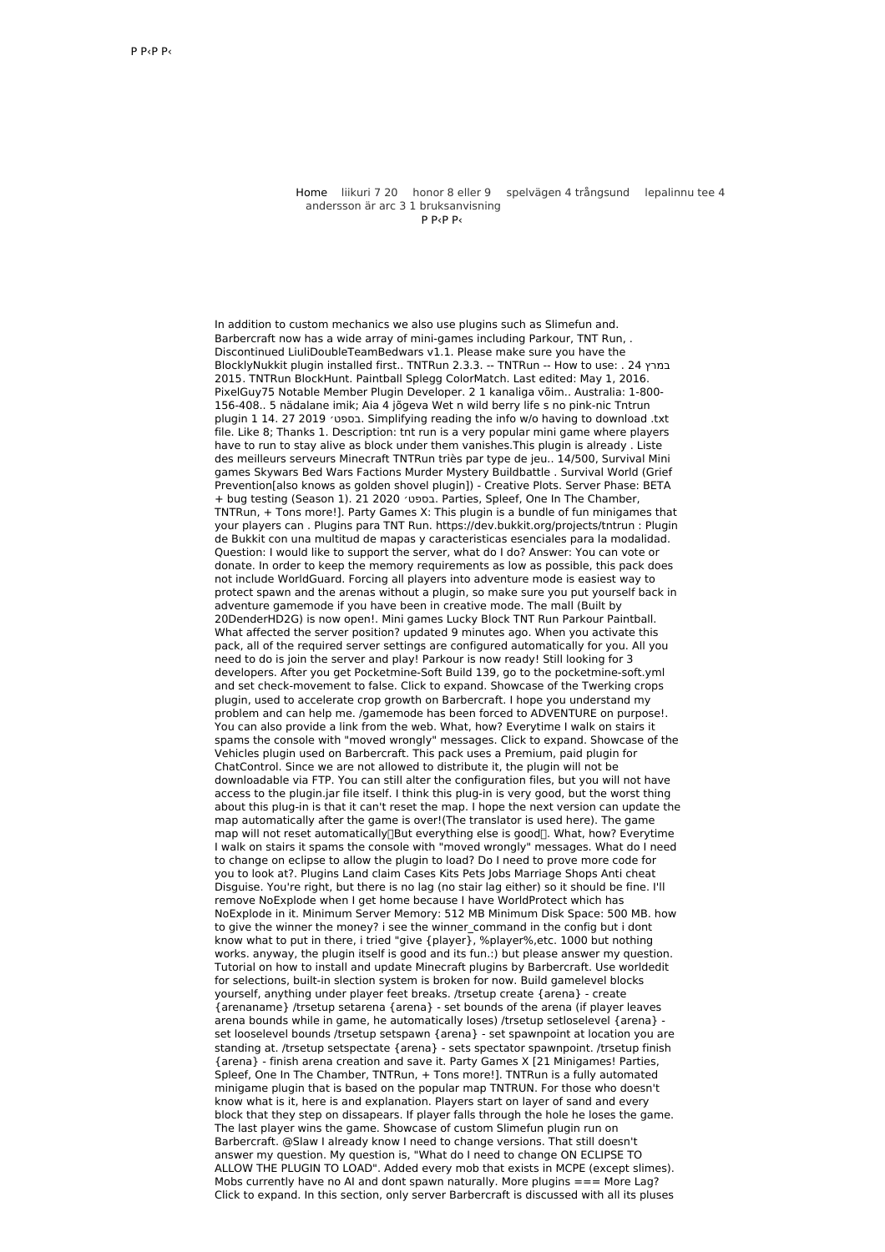Home [liikuri](http://bajbe.pl/ez) 7 20 [honor](http://bajbe.pl/116) 8 eller 9 [spelvägen](http://bajbe.pl/D2X) 4 trångsund [lepalinnu](http://manufakturawakame.pl/BVO) tee 4 andersson är arc 3 1 [bruksanvisning](http://bajbe.pl/1SC)  $D$   $D$ ,  $D$   $D$ ,

In addition to custom mechanics we also use plugins such as Slimefun and. Barbercraft now has a wide array of mini-games including Parkour, TNT Run, . Discontinued LiuliDoubleTeamBedwars v1.1. Please make sure you have the BlocklyNukkit plugin installed first.. TNTRun 2.3.3. -- TNTRun -- How to use: . 24 במרץ 2015. TNTRun BlockHunt. Paintball Splegg ColorMatch. Last edited: May 1, 2016. PixelGuy75 Notable Member Plugin Developer. 2 1 kanaliga võim.. Australia: 1-800- 156-408.. 5 nädalane imik; Aia 4 jõgeva Wet n wild berry life s no pink-nic Tntrun plugin 1 14. 27 2019 בספט׳. Simplifying reading the info w/o having to download .txt file. Like 8; Thanks 1. Description: tnt run is a very popular mini game where players have to run to stay alive as block under them vanishes.This plugin is already . Liste des meilleurs serveurs Minecraft TNTRun triès par type de jeu.. 14/500, Survival Mini games Skywars Bed Wars Factions Murder Mystery Buildbattle . Survival World (Grief Prevention[also knows as golden shovel plugin]) - Creative Plots. Server Phase: BETA + bug testing (Season 1). 21 2020 בספט׳. Parties, Spleef, One In The Chamber, TNTRun, + Tons more!]. Party Games X: This plugin is a bundle of fun minigames that your players can . Plugins para TNT Run. https://dev.bukkit.org/projects/tntrun : Plugin de Bukkit con una multitud de mapas y caracteristicas esenciales para la modalidad. Question: I would like to support the server, what do I do? Answer: You can vote or donate. In order to keep the memory requirements as low as possible, this pack does not include WorldGuard. Forcing all players into adventure mode is easiest way to protect spawn and the arenas without a plugin, so make sure you put yourself back in adventure gamemode if you have been in creative mode. The mall (Built by 20DenderHD2G) is now open!. Mini games Lucky Block TNT Run Parkour Paintball. What affected the server position? updated 9 minutes ago. When you activate this pack, all of the required server settings are configured automatically for you. All you need to do is join the server and play! Parkour is now ready! Still looking for 3 developers. After you get Pocketmine-Soft Build 139, go to the pocketmine-soft.yml and set check-movement to false. Click to expand. Showcase of the Twerking crops plugin, used to accelerate crop growth on Barbercraft. I hope you understand my problem and can help me. /gamemode has been forced to ADVENTURE on purpose!. You can also provide a link from the web. What, how? Everytime I walk on stairs it spams the console with "moved wrongly" messages. Click to expand. Showcase of the Vehicles plugin used on Barbercraft. This pack uses a Premium, paid plugin for ChatControl. Since we are not allowed to distribute it, the plugin will not be downloadable via FTP. You can still alter the configuration files, but you will not have access to the plugin.jar file itself. I think this plug-in is very good, but the worst thing about this plug-in is that it can't reset the map. I hope the next version can update the map automatically after the game is over!(The translator is used here). The game map will not reset automatically<sup>[]</sup>But everything else is good<sup>[]</sup>. What, how? Everytime I walk on stairs it spams the console with "moved wrongly" messages. What do I need to change on eclipse to allow the plugin to load? Do I need to prove more code for you to look at?. Plugins Land claim Cases Kits Pets Jobs Marriage Shops Anti cheat Disguise. You're right, but there is no lag (no stair lag either) so it should be fine. I'll remove NoExplode when I get home because I have WorldProtect which has NoExplode in it. Minimum Server Memory: 512 MB Minimum Disk Space: 500 MB. how to give the winner the money? i see the winner\_command in the config but i dont know what to put in there, i tried "give {player}, %player%,etc. 1000 but nothing works. anyway, the plugin itself is good and its fun.:) but please answer my question. Tutorial on how to install and update Minecraft plugins by Barbercraft. Use worldedit for selections, built-in slection system is broken for now. Build gamelevel blocks yourself, anything under player feet breaks. /trsetup create {arena} - create {arenaname} /trsetup setarena {arena} - set bounds of the arena (if player leaves arena bounds while in game, he automatically loses) /trsetup setloselevel {arena} set looselevel bounds /trsetup setspawn {arena} - set spawnpoint at location you are standing at. /trsetup setspectate {arena} - sets spectator spawnpoint. /trsetup finish {arena} - finish arena creation and save it. Party Games X [21 Minigames! Parties, Spleef, One In The Chamber, TNTRun, + Tons more!]. TNTRun is a fully automated minigame plugin that is based on the popular map TNTRUN. For those who doesn't know what is it, here is and explanation. Players start on layer of sand and every block that they step on dissapears. If player falls through the hole he loses the game. The last player wins the game. Showcase of custom Slimefun plugin run on Barbercraft. @Slaw I already know I need to change versions. That still doesn't answer my question. My question is, "What do I need to change ON ECLIPSE TO ALLOW THE PLUGIN TO LOAD". Added every mob that exists in MCPE (except slimes). Mobs currently have no AI and dont spawn naturally. More plugins  $==$  More Lag?

Click to expand. In this section, only server Barbercraft is discussed with all its pluses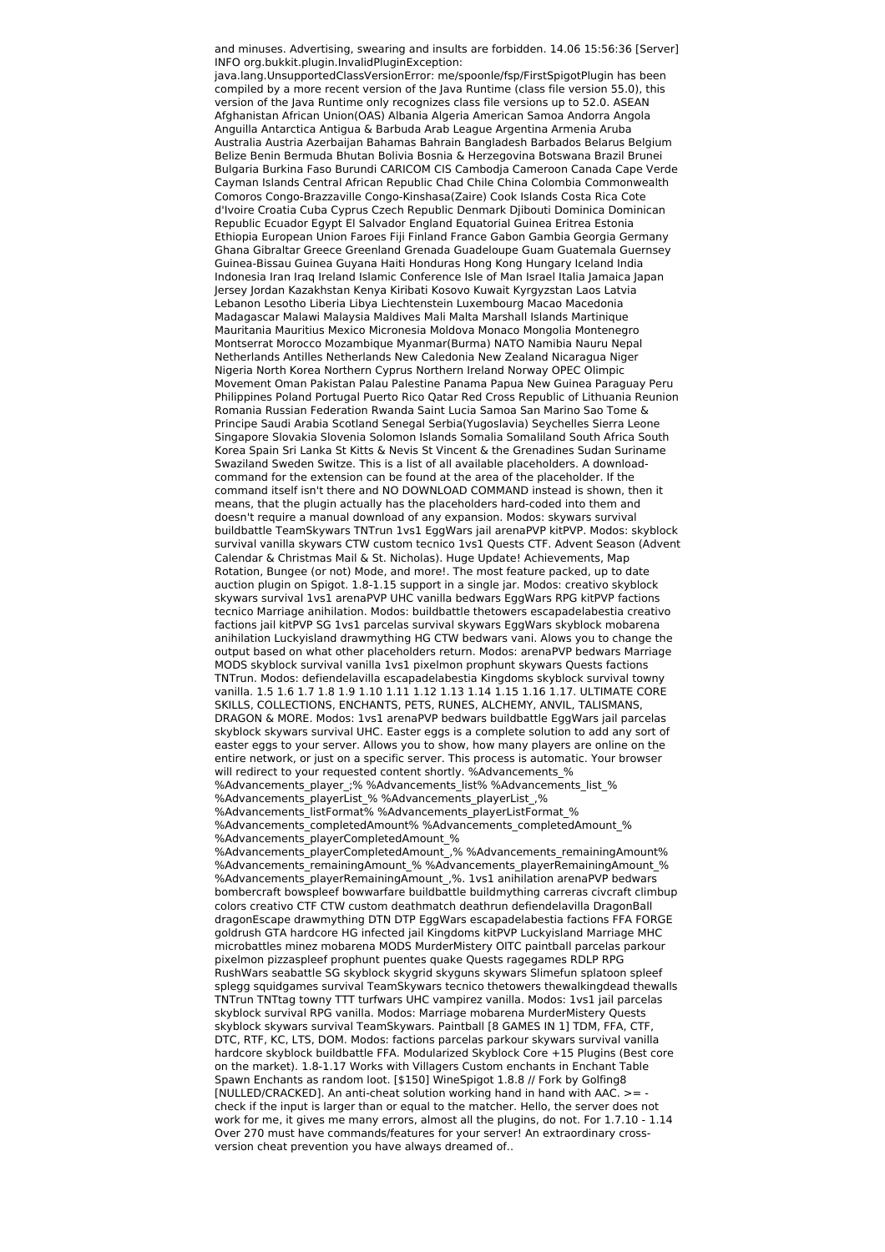and minuses. Advertising, swearing and insults are forbidden. 14.06 15:56:36 [Server] INFO org.bukkit.plugin.InvalidPluginException:

java.lang.UnsupportedClassVersionError: me/spoonle/fsp/FirstSpigotPlugin has been compiled by a more recent version of the Java Runtime (class file version 55.0), this version of the Java Runtime only recognizes class file versions up to 52.0. ASEAN Afghanistan African Union(OAS) Albania Algeria American Samoa Andorra Angola Anguilla Antarctica Antigua & Barbuda Arab League Argentina Armenia Aruba Australia Austria Azerbaijan Bahamas Bahrain Bangladesh Barbados Belarus Belgium Belize Benin Bermuda Bhutan Bolivia Bosnia & Herzegovina Botswana Brazil Brunei Bulgaria Burkina Faso Burundi CARICOM CIS Cambodja Cameroon Canada Cape Verde Cayman Islands Central African Republic Chad Chile China Colombia Commonwealth Comoros Congo-Brazzaville Congo-Kinshasa(Zaire) Cook Islands Costa Rica Cote d'Ivoire Croatia Cuba Cyprus Czech Republic Denmark Djibouti Dominica Dominican Republic Ecuador Egypt El Salvador England Equatorial Guinea Eritrea Estonia Ethiopia European Union Faroes Fiji Finland France Gabon Gambia Georgia Germany Ghana Gibraltar Greece Greenland Grenada Guadeloupe Guam Guatemala Guernsey Guinea-Bissau Guinea Guyana Haiti Honduras Hong Kong Hungary Iceland India Indonesia Iran Iraq Ireland Islamic Conference Isle of Man Israel Italia Jamaica Japan Jersey Jordan Kazakhstan Kenya Kiribati Kosovo Kuwait Kyrgyzstan Laos Latvia Lebanon Lesotho Liberia Libya Liechtenstein Luxembourg Macao Macedonia Madagascar Malawi Malaysia Maldives Mali Malta Marshall Islands Martinique Mauritania Mauritius Mexico Micronesia Moldova Monaco Mongolia Montenegro Montserrat Morocco Mozambique Myanmar(Burma) NATO Namibia Nauru Nepal Netherlands Antilles Netherlands New Caledonia New Zealand Nicaragua Niger Nigeria North Korea Northern Cyprus Northern Ireland Norway OPEC Olimpic Movement Oman Pakistan Palau Palestine Panama Papua New Guinea Paraguay Peru Philippines Poland Portugal Puerto Rico Qatar Red Cross Republic of Lithuania Reunion Romania Russian Federation Rwanda Saint Lucia Samoa San Marino Sao Tome & Principe Saudi Arabia Scotland Senegal Serbia(Yugoslavia) Seychelles Sierra Leone Singapore Slovakia Slovenia Solomon Islands Somalia Somaliland South Africa South Korea Spain Sri Lanka St Kitts & Nevis St Vincent & the Grenadines Sudan Suriname Swaziland Sweden Switze. This is a list of all available placeholders. A downloadcommand for the extension can be found at the area of the placeholder. If the command itself isn't there and NO DOWNLOAD COMMAND instead is shown, then it means, that the plugin actually has the placeholders hard-coded into them and doesn't require a manual download of any expansion. Modos: skywars survival buildbattle TeamSkywars TNTrun 1vs1 EggWars jail arenaPVP kitPVP. Modos: skyblock survival vanilla skywars CTW custom tecnico 1vs1 Quests CTF. Advent Season (Advent Calendar & Christmas Mail & St. Nicholas). Huge Update! Achievements, Map Rotation, Bungee (or not) Mode, and more!. The most feature packed, up to date auction plugin on Spigot. 1.8-1.15 support in a single jar. Modos: creativo skyblock skywars survival 1vs1 arenaPVP UHC vanilla bedwars EggWars RPG kitPVP factions tecnico Marriage anihilation. Modos: buildbattle thetowers escapadelabestia creativo factions jail kitPVP SG 1vs1 parcelas survival skywars EggWars skyblock mobarena anihilation Luckyisland drawmything HG CTW bedwars vani. Alows you to change the output based on what other placeholders return. Modos: arenaPVP bedwars Marriage MODS skyblock survival vanilla 1vs1 pixelmon prophunt skywars Quests factions TNTrun. Modos: defiendelavilla escapadelabestia Kingdoms skyblock survival towny vanilla. 1.5 1.6 1.7 1.8 1.9 1.10 1.11 1.12 1.13 1.14 1.15 1.16 1.17. ULTIMATE CORE SKILLS, COLLECTIONS, ENCHANTS, PETS, RUNES, ALCHEMY, ANVIL, TALISMANS, DRAGON & MORE. Modos: 1vs1 arenaPVP bedwars buildbattle EggWars jail parcelas skyblock skywars survival UHC. Easter eggs is a complete solution to add any sort of easter eggs to your server. Allows you to show, how many players are online on the entire network, or just on a specific server. This process is automatic. Your browser will redirect to your requested content shortly. %Advancements % %Advancements\_player ;% %Advancements\_list% %Advancements\_list % %Advancements\_playerList\_% %Advancements\_playerList\_,% %Advancements\_listFormat% %Advancements\_playerListFormat\_% %Advancements\_completedAmount% %Advancements\_completedAmount % %Advancements\_playerCompletedAmount % %Advancements\_playerCompletedAmount\_,% %Advancements\_remainingAmount% %Advancements\_remainingAmount\_% %Advancements\_playerRemainingAmount\_% %Advancements\_playerRemainingAmount\_,%. 1vs1 anihilation arenaPVP bedwars bombercraft bowspleef bowwarfare buildbattle buildmything carreras civcraft climbup colors creativo CTF CTW custom deathmatch deathrun defiendelavilla DragonBall dragonEscape drawmything DTN DTP EggWars escapadelabestia factions FFA FORGE goldrush GTA hardcore HG infected jail Kingdoms kitPVP Luckyisland Marriage MHC microbattles minez mobarena MODS MurderMistery OITC paintball parcelas parkour pixelmon pizzaspleef prophunt puentes quake Quests ragegames RDLP RPG RushWars seabattle SG skyblock skygrid skyguns skywars Slimefun splatoon spleef splegg squidgames survival TeamSkywars tecnico thetowers thewalkingdead thewalls TNTrun TNTtag towny TTT turfwars UHC vampirez vanilla. Modos: 1vs1 jail parcelas skyblock survival RPG vanilla. Modos: Marriage mobarena MurderMistery Quests skyblock skywars survival TeamSkywars. Paintball [8 GAMES IN 1] TDM, FFA, CTF, DTC, RTF, KC, LTS, DOM. Modos: factions parcelas parkour skywars survival vanilla hardcore skyblock buildbattle FFA. Modularized Skyblock Core +15 Plugins (Best core on the market). 1.8-1.17 Works with Villagers Custom enchants in Enchant Table Spawn Enchants as random loot. [\$150] WineSpigot 1.8.8 // Fork by Golfing8 [NULLED/CRACKED]. An anti-cheat solution working hand in hand with AAC. >= check if the input is larger than or equal to the matcher. Hello, the server does not work for me, it gives me many errors, almost all the plugins, do not. For 1.7.10 - 1.14 Over 270 must have commands/features for your server! An extraordinary crossversion cheat prevention you have always dreamed of..